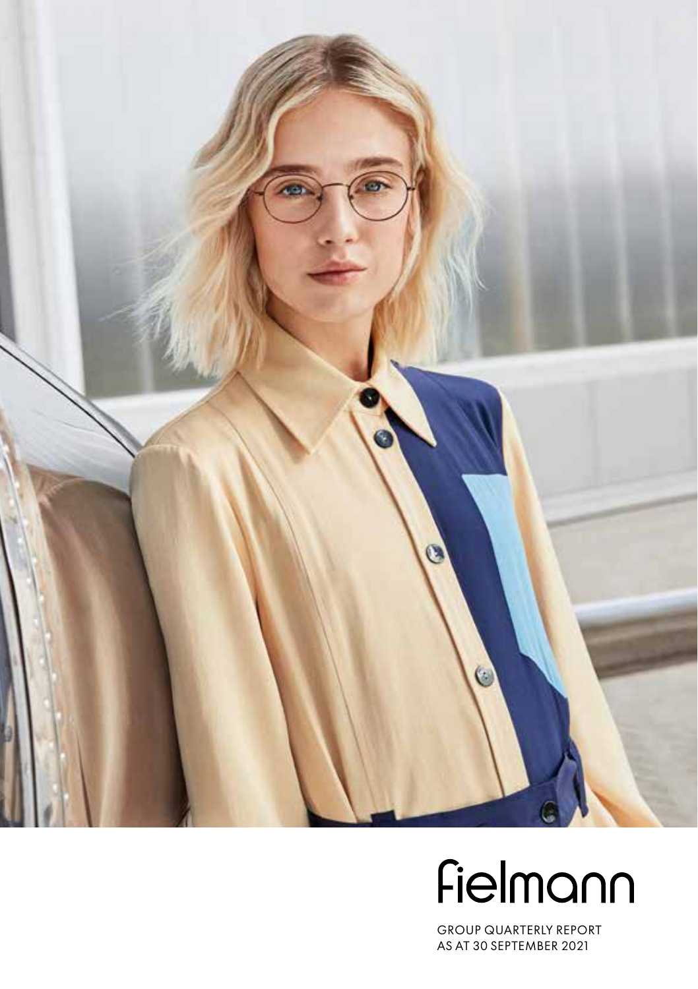

# Fielmann

GROUP QUARTERLY REPORT AS AT 30 SEPTEMBER 2021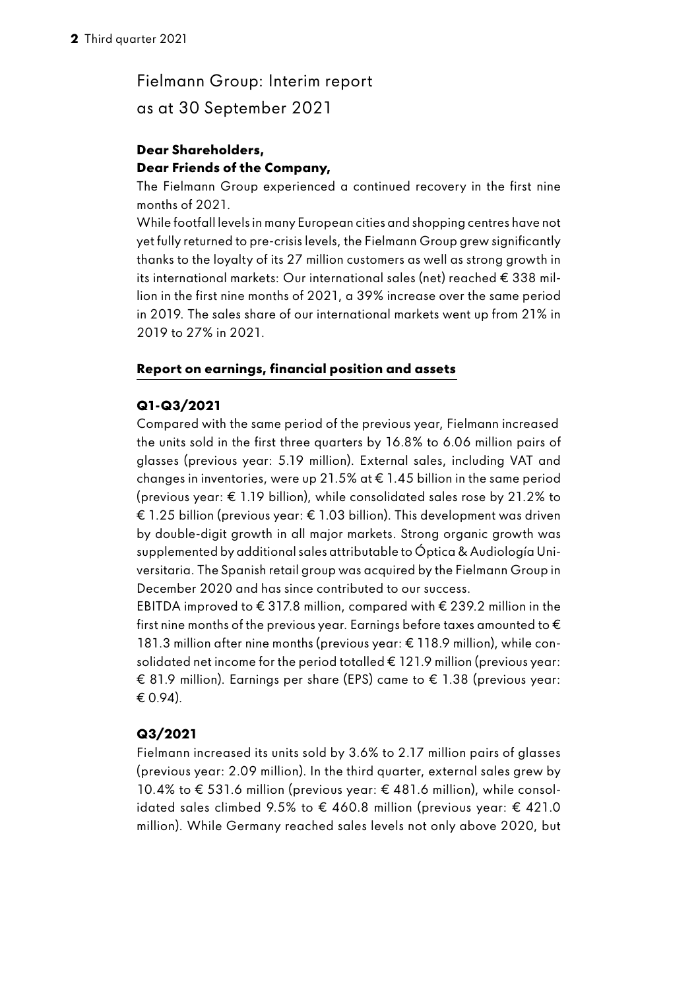## Fielmann Group: Interim report as at 30 September 2021

### **Dear Shareholders, Dear Friends of the Company,**

The Fielmann Group experienced a continued recovery in the first nine months of 2021.

While footfall levels in many European cities and shopping centres have not yet fully returned to pre-crisis levels, the Fielmann Group grew significantly thanks to the loyalty of its 27 million customers as well as strong growth in its international markets: Our international sales (net) reached € 338 million in the first nine months of 2021, a 39% increase over the same period in 2019. The sales share of our international markets went up from 21% in 2019 to 27% in 2021.

## **Report on earnings, financial position and assets**

## **Q1-Q3/2021**

Compared with the same period of the previous year, Fielmann increased the units sold in the first three quarters by 16.8% to 6.06 million pairs of glasses (previous year: 5.19 million). External sales, including VAT and changes in inventories, were up 21.5% at € 1.45 billion in the same period (previous year: € 1.19 billion), while consolidated sales rose by 21.2% to € 1.25 billion (previous year: € 1.03 billion). This development was driven by double-digit growth in all major markets. Strong organic growth was supplemented by additional sales attributable to Óptica & Audiología Universitaria. The Spanish retail group was acquired by the Fielmann Group in December 2020 and has since contributed to our success.

EBITDA improved to € 317.8 million, compared with € 239.2 million in the first nine months of the previous year. Earnings before taxes amounted to  $\bm{\epsilon}$ 181.3 million after nine months (previous year: € 118.9 million), while consolidated net income for the period totalled € 121.9 million (previous vear: € 81.9 million). Earnings per share (EPS) came to € 1.38 (previous year: € 0.94).

## **Q3/2021**

Fielmann increased its units sold by 3.6% to 2.17 million pairs of glasses (previous year: 2.09 million). In the third quarter, external sales grew by 10.4% to € 531.6 million (previous year: € 481.6 million), while consolidated sales climbed 9.5% to € 460.8 million (previous year: € 421.0 million). While Germany reached sales levels not only above 2020, but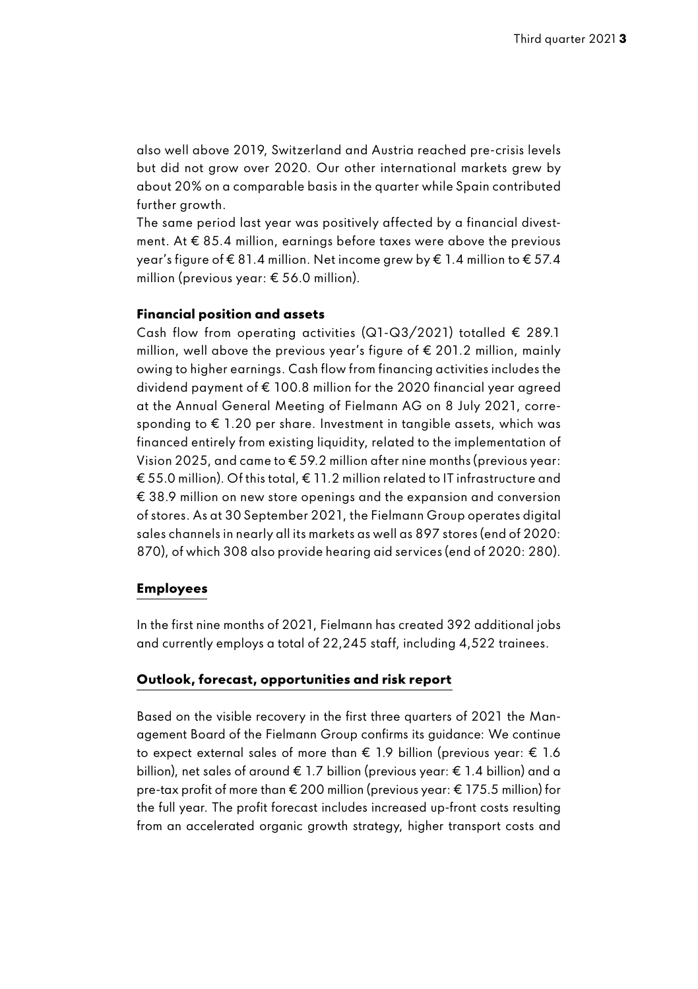also well above 2019, Switzerland and Austria reached pre-crisis levels but did not grow over 2020. Our other international markets grew by about 20% on a comparable basis in the quarter while Spain contributed further arowth.

The same period last year was positively affected by a financial divestment. At € 85.4 million, earnings before taxes were above the previous year's figure of € 81.4 million. Net income grew by € 1.4 million to € 57.4 million (previous year: € 56.0 million).

#### **Financial position and assets**

Cash flow from operating activities (Q1-Q3/2021) totalled  $\epsilon$  289.1 million, well above the previous year's figure of € 201.2 million, mainly owing to higher earnings. Cash flow from financing activities includes the dividend payment of € 100.8 million for the 2020 financial year agreed at the Annual General Meeting of Fielmann AG on 8 July 2021, corresponding to € 1.20 per share. Investment in tangible assets, which was financed entirely from existing liquidity, related to the implementation of Vision 2025, and came to € 59.2 million after nine months (previous year: € 55.0 million). Of this total, € 11.2 million related to IT infrastructure and € 38.9 million on new store openings and the expansion and conversion of stores. As at 30 September 2021, the Fielmann Group operates digital sales channels in nearly all its markets as well as 897 stores (end of 2020: 870), of which 308 also provide hearing aid services (end of 2020: 280).

#### **Employees**

In the first nine months of 2021, Fielmann has created 392 additional jobs and currently employs a total of 22,245 staff, including 4,522 trainees.

#### **Outlook, forecast, opportunities and risk report**

Based on the visible recovery in the first three quarters of 2021 the Management Board of the Fielmann Group confirms its guidance: We continue to expect external sales of more than € 1.9 billion (previous year: € 1.6 billion), net sales of around € 1.7 billion (previous year: € 1.4 billion) and a pre-tax profit of more than € 200 million (previous year: € 175.5 million) for the full year. The profit forecast includes increased up-front costs resulting from an accelerated organic growth strategy, higher transport costs and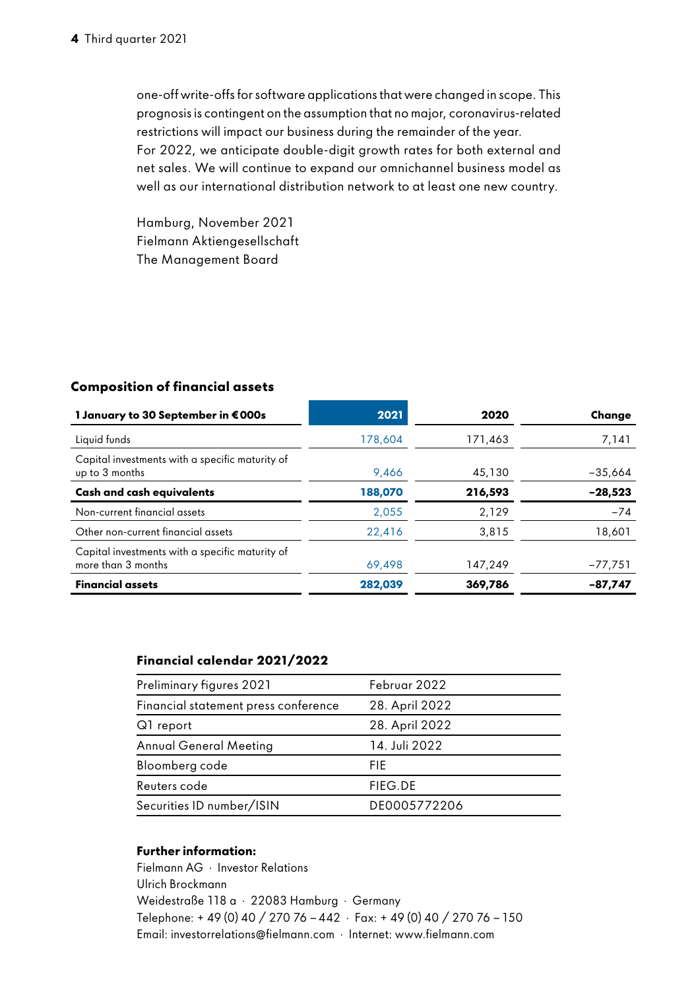one-off write-offs for software applications that were changed in scope. This prognosis is contingent on the assumption that no major, coronavirus-related restrictions will impact our business during the remainder of the year. For 2022, we anticipate double-digit growth rates for both external and net sales. We will continue to expand our omnichannel business model as well as our international distribution network to at least one new country.

Hamburg, November 2021 Fielmann Aktiengesellschaft The Management Board

#### **Composition of financial assets**

| 1 January to 30 September in €000s                                    | 2021    | 2020    | Change    |
|-----------------------------------------------------------------------|---------|---------|-----------|
| Liquid funds                                                          | 178.604 | 171.463 | 7,141     |
| Capital investments with a specific maturity of<br>up to 3 months     | 9.466   | 45,130  | $-35.664$ |
| Cash and cash equivalents                                             | 188,070 | 216,593 | $-28,523$ |
| Non-current financial assets                                          | 2,055   | 2,129   | $-74$     |
| Other non-current financial assets                                    | 22.416  | 3.815   | 18,601    |
| Capital investments with a specific maturity of<br>more than 3 months | 69,498  | 147.249 | $-77,751$ |
| <b>Financial assets</b>                                               | 282.039 | 369,786 | -87.747   |

#### **Financial calendar 2021/2022**

| Preliminary figures 2021             | Februar 2022   |
|--------------------------------------|----------------|
| Financial statement press conference | 28. April 2022 |
| Q1 report                            | 28. April 2022 |
| Annual General Meeting               | 14. Juli 2022  |
| Bloomberg code                       | FIE.           |
| Reuters code                         | FIEG.DE        |
| Securities ID number/ISIN            | DE0005772206   |
|                                      |                |

#### **Further information:**

Fielmann AG · Investor Relations Ulrich Brockmann Weidestraße 118 a · 22083 Hamburg · Germany Telephone: + 49 (0) 40 / 270 76 - 442 · Fax: + 49 (0) 40 / 270 76 - 150 Email: investorrelations@fielmann.com · Internet: www.fielmann.com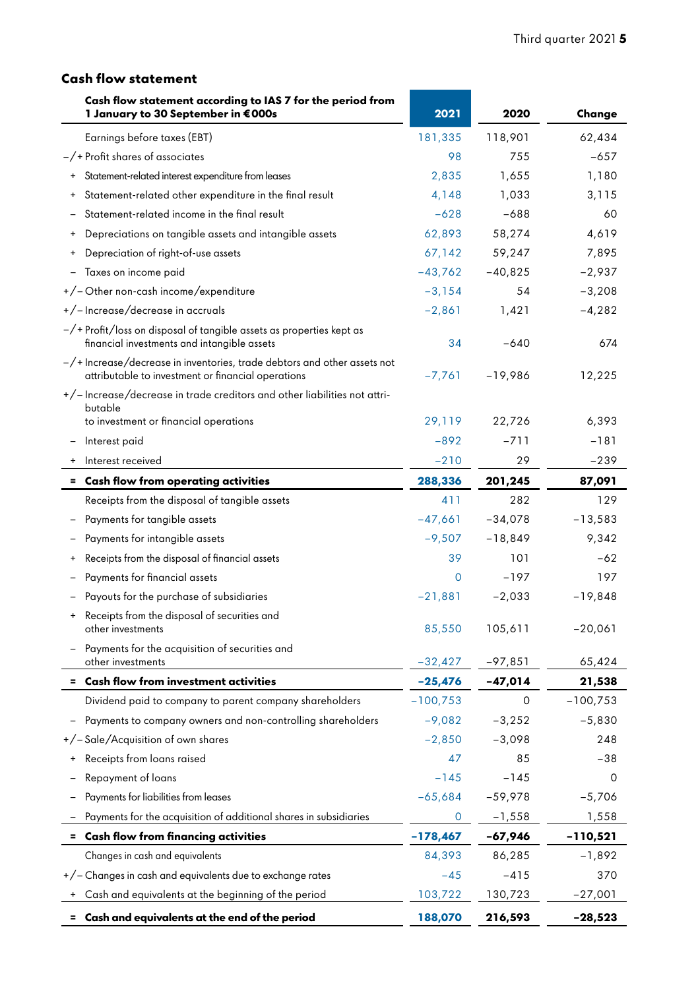## **Cash flow statement**

| Cash flow statement according to IAS 7 for the period from<br>1 January to 30 September in €000s                               | 2021       | 2020      | Change     |
|--------------------------------------------------------------------------------------------------------------------------------|------------|-----------|------------|
| Earnings before taxes (EBT)                                                                                                    | 181,335    | 118,901   | 62,434     |
| $-\gamma$ + Profit shares of associates                                                                                        | 98         | 755       | $-657$     |
| Statement-related interest expenditure from leases                                                                             | 2,835      | 1,655     | 1,180      |
| Statement-related other expenditure in the final result                                                                        | 4,148      | 1,033     | 3,115      |
| Statement-related income in the final result                                                                                   | $-628$     | $-688$    | 60         |
| Depreciations on tangible assets and intangible assets<br>$\ddot{}$                                                            | 62,893     | 58,274    | 4,619      |
| Depreciation of right-of-use assets                                                                                            | 67,142     | 59,247    | 7,895      |
| Taxes on income paid                                                                                                           | $-43,762$  | $-40,825$ | $-2,937$   |
| +/-Other non-cash income/expenditure                                                                                           | $-3,154$   | 54        | $-3,208$   |
| +/-Increase/decrease in accruals                                                                                               | $-2,861$   | 1,421     | $-4,282$   |
| -/+Profit/loss on disposal of tangible assets as properties kept as<br>financial investments and intangible assets             | 34         | $-640$    | 674        |
| -/+ Increase/decrease in inventories, trade debtors and other assets not<br>attributable to investment or financial operations | $-7,761$   | -19,986   | 12,225     |
| +/-Increase/decrease in trade creditors and other liabilities not attri-                                                       |            |           |            |
| butable<br>to investment or financial operations                                                                               | 29,119     | 22,726    | 6,393      |
| Interest paid                                                                                                                  | $-892$     | $-711$    | $-181$     |
| Interest received                                                                                                              | $-210$     | 29        | $-239$     |
| = Cash flow from operating activities                                                                                          | 288,336    | 201,245   | 87,091     |
| Receipts from the disposal of tangible assets                                                                                  | 411        | 282       | 129        |
| Payments for tangible assets                                                                                                   | $-47,661$  | $-34,078$ | $-13,583$  |
| Payments for intangible assets                                                                                                 | $-9,507$   | $-18,849$ | 9,342      |
| Receipts from the disposal of financial assets                                                                                 | 39         | 101       | $-62$      |
| Payments for financial assets                                                                                                  | 0          | $-197$    | 197        |
| Payouts for the purchase of subsidiaries                                                                                       | $-21,881$  | $-2,033$  | $-19,848$  |
| Receipts from the disposal of securities and<br>other investments                                                              | 85,550     | 105,611   | $-20,061$  |
| Payments for the acquisition of securities and<br>other investments                                                            | $-32,427$  | $-97,851$ | 65,424     |
| = Cash flow from investment activities                                                                                         | -25,476    | $-47,014$ | 21,538     |
| Dividend paid to company to parent company shareholders                                                                        | $-100,753$ | $\Omega$  | $-100,753$ |
| Payments to company owners and non-controlling shareholders                                                                    | $-9,082$   | $-3,252$  | $-5,830$   |
| +/-Sale/Acquisition of own shares                                                                                              | $-2,850$   | $-3,098$  | 248        |
| Receipts from loans raised                                                                                                     | 47         | 85        | $-38$      |
| Repayment of loans                                                                                                             | $-145$     | $-145$    | 0          |
| Payments for liabilities from leases                                                                                           | $-65,684$  | $-59,978$ | $-5,706$   |
| Payments for the acquisition of additional shares in subsidiaries                                                              | 0          | $-1,558$  | 1,558      |
| = Cash flow from financing activities                                                                                          | $-178,467$ | -67,946   | -110,521   |
| Changes in cash and equivalents                                                                                                | 84,393     | 86,285    | $-1,892$   |
| +/- Changes in cash and equivalents due to exchange rates                                                                      | $-45$      | $-415$    | 370        |
| Cash and equivalents at the beginning of the period                                                                            | 103,722    | 130,723   | $-27,001$  |
| Cash and equivalents at the end of the period                                                                                  | 188,070    | 216,593   | $-28,523$  |

í

ä,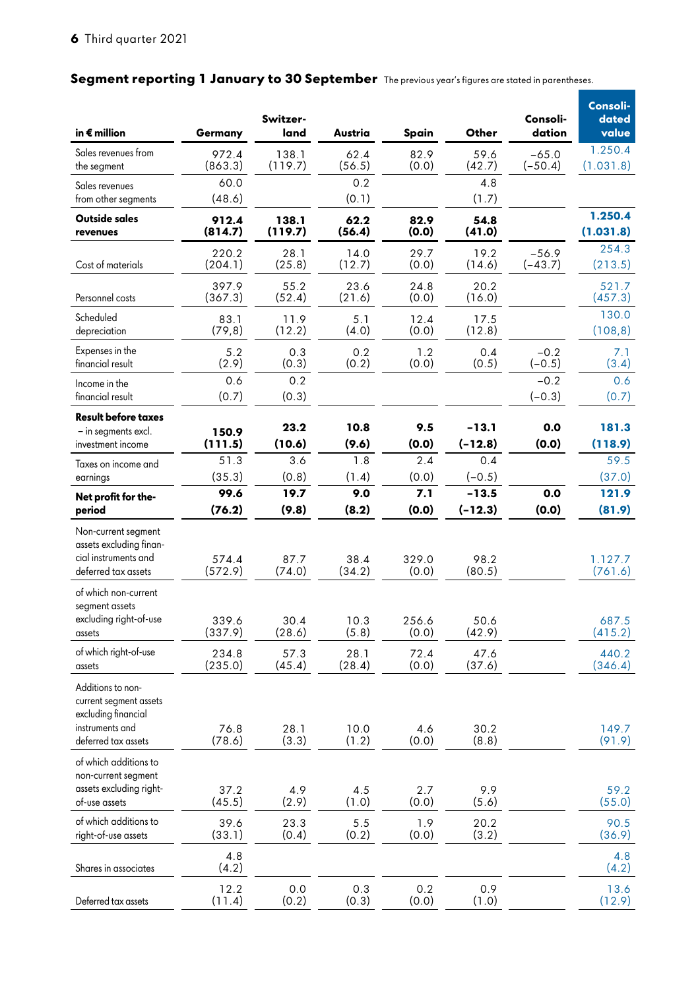## Segment reporting 1 January to 30 September The previous year's figures are stated in parentheses.

| in € million                                                                                                 | Germany          | Switzer-<br>land | Austria        | Spain          | Other                | Consoli-<br>dation   | Consoli-<br>dated<br>value |
|--------------------------------------------------------------------------------------------------------------|------------------|------------------|----------------|----------------|----------------------|----------------------|----------------------------|
| Sales revenues from<br>the segment                                                                           | 972.4<br>(863.3) | 138.1<br>(119.7) | 62.4<br>(56.5) | 82.9<br>(0.0)  | 59.6<br>(42.7)       | $-65.0$<br>$(-50.4)$ | 1.250.4<br>(1.031.8)       |
| Sales revenues<br>from other segments                                                                        | 60.0<br>(48.6)   |                  | 0.2<br>(0.1)   |                | 4.8<br>(1.7)         |                      |                            |
| Outside sales<br>revenues                                                                                    | 912.4<br>(814.7) | 138.1<br>(119.7) | 62.2<br>(56.4) | 82.9<br>(0.0)  | 54.8<br>(41.0)       |                      | 1.250.4<br>(1.031.8)       |
| Cost of materials                                                                                            | 220.2<br>(204.1) | 28.1<br>(25.8)   | 14.0<br>(12.7) | 29.7<br>(0.0)  | 19.2<br>(14.6)       | $-56.9$<br>$(-43.7)$ | 254.3<br>(213.5)           |
| Personnel costs                                                                                              | 397.9<br>(367.3) | 55.2<br>(52.4)   | 23.6<br>(21.6) | 24.8<br>(0.0)  | 20.2<br>(16.0)       |                      | 521.7<br>(457.3)           |
| Scheduled<br>depreciation                                                                                    | 83.1<br>(79,8)   | 11.9<br>(12.2)   | 5.1<br>(4.0)   | 12.4<br>(0.0)  | 17.5<br>(12.8)       |                      | 130.0<br>(108, 8)          |
| Expenses in the<br>financial result                                                                          | 5.2<br>(2.9)     | 0.3<br>(0.3)     | 0.2<br>(0.2)   | 1.2<br>(0.0)   | 0.4<br>(0.5)         | $-0.2$<br>$(-0.5)$   | 7.1<br>(3.4)               |
| Income in the<br>financial result                                                                            | 0.6<br>(0.7)     | 0.2<br>(0.3)     |                |                |                      | $-0.2$<br>$(-0.3)$   | 0.6<br>(0.7)               |
| <b>Result before taxes</b><br>- in segments excl.<br>investment income                                       | 150.9<br>(111.5) | 23.2<br>(10.6)   | 10.8<br>(9.6)  | 9.5<br>(0.0)   | $-13.1$<br>$(-12.8)$ | 0.0<br>(0.0)         | 181.3<br>(118.9)           |
| Taxes on income and<br>earnings                                                                              | 51.3<br>(35.3)   | 3.6<br>(0.8)     | 1.8<br>(1.4)   | 2.4<br>(0.0)   | 0.4<br>$(-0.5)$      |                      | 59.5<br>(37.0)             |
| Net profit for the-<br>period                                                                                | 99.6<br>(76.2)   | 19.7<br>(9.8)    | 9.0<br>(8.2)   | 7.1<br>(0.0)   | $-13.5$<br>$(-12.3)$ | 0.0<br>(0.0)         | 121.9<br>(81.9)            |
| Non-current segment<br>assets excluding finan-<br>cial instruments and<br>deferred tax assets                | 574.4<br>(572.9) | 87.7<br>(74.0)   | 38.4<br>(34.2) | 329.0<br>(0.0) | 98.2<br>(80.5)       |                      | 1.127.7<br>(761.6)         |
| of which non-current<br>segment assets<br>excluding right-of-use<br>assets                                   | 339.6<br>(337.9) | 30.4<br>(28.6)   | 10.3<br>(5.8)  | 256.6<br>(0.0) | 50.6<br>(42.9)       |                      | 687.5<br>(415.2)           |
| of which right-of-use<br>assets                                                                              | 234.8<br>(235.0) | 57.3<br>(45.4)   | 28.1<br>(28.4) | 72.4<br>(0.0)  | 47.6<br>(37.6)       |                      | 440.2<br>(346.4)           |
| Additions to non-<br>current segment assets<br>excluding financial<br>instruments and<br>deferred tax assets | 76.8<br>(78.6)   | 28.1<br>(3.3)    | 10.0<br>(1.2)  | 4.6<br>(0.0)   | 30.2<br>(8.8)        |                      | 149.7<br>(91.9)            |
| of which additions to<br>non-current segment<br>assets excluding right-<br>of-use assets                     | 37.2<br>(45.5)   | 4.9<br>(2.9)     | 4.5<br>(1.0)   | 2.7<br>(0.0)   | 9.9<br>(5.6)         |                      | 59.2<br>(55.0)             |
| of which additions to<br>right-of-use assets                                                                 | 39.6<br>(33.1)   | 23.3<br>(0.4)    | 5.5<br>(0.2)   | 1.9<br>(0.0)   | 20.2<br>(3.2)        |                      | 90.5<br>(36.9)             |
| Shares in associates                                                                                         | 4.8<br>(4.2)     |                  |                |                |                      |                      | 4.8<br>(4.2)               |
| Deferred tax assets                                                                                          | 12.2<br>(11.4)   | 0.0<br>(0.2)     | 0.3<br>(0.3)   | 0.2<br>(0.0)   | 0.9<br>(1.0)         |                      | 13.6<br>(12.9)             |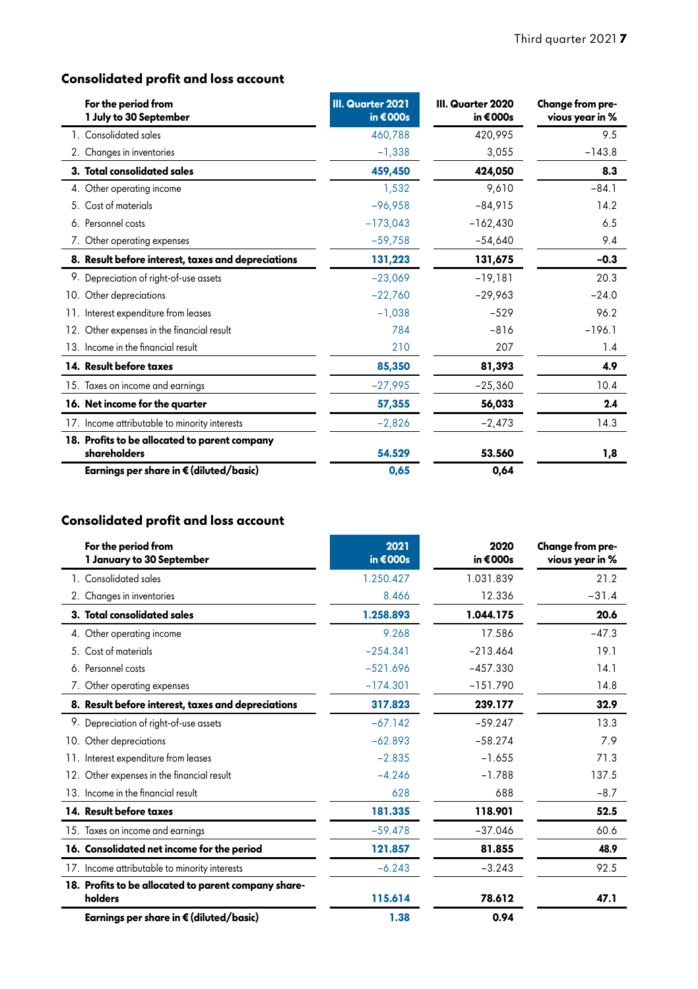## **Consolidated profit and loss account**

| For the period from<br>1 July to 30 September                 | III. Quarter 2021<br>in $€000s$ | III. Quarter 2020<br>in €000s | Change from pre-<br>vious year in % |
|---------------------------------------------------------------|---------------------------------|-------------------------------|-------------------------------------|
| 1. Consolidated sales                                         | 460,788                         | 420,995                       | 9.5                                 |
| 2. Changes in inventories                                     | $-1,338$                        | 3,055                         | $-143.8$                            |
| 3. Total consolidated sales                                   | 459,450                         | 424,050                       | 8.3                                 |
| 4. Other operating income                                     | 1,532                           | 9.610                         | $-84.1$                             |
| 5. Cost of materials                                          | $-96.958$                       | $-84.915$                     | 14.2                                |
| 6. Personnel costs                                            | $-173.043$                      | $-162,430$                    | 6.5                                 |
| 7. Other operating expenses                                   | $-59,758$                       | $-54,640$                     | 9.4                                 |
| 8. Result before interest, taxes and depreciations            | 131,223                         | 131.675                       | $-0.3$                              |
| 9. Depreciation of right-of-use assets                        | $-23,069$                       | $-19,181$                     | 20.3                                |
| 10. Other depreciations                                       | $-22,760$                       | $-29,963$                     | $-24.0$                             |
| 11. Interest expenditure from leases                          | $-1.038$                        | $-529$                        | 96.2                                |
| 12. Other expenses in the financial result                    | 784                             | $-816$                        | $-196.1$                            |
| 13. Income in the financial result                            | 210                             | 207                           | 1.4                                 |
| 14. Result before taxes                                       | 85,350                          | 81,393                        | 4.9                                 |
| 15. Taxes on income and earnings                              | $-27,995$                       | $-25,360$                     | 10.4                                |
| 16. Net income for the quarter                                | 57,355                          | 56,033                        | 2.4                                 |
| 17. Income attributable to minority interests                 | $-2.826$                        | $-2,473$                      | 14.3                                |
| 18. Profits to be allocated to parent company<br>shareholders | 54.529                          | 53.560                        | 1,8                                 |
| Earnings per share in € (diluted/basic)                       | 0,65                            | 0,64                          |                                     |

## **Consolidated profit and loss account**

| For the period from<br>1 January to 30 September                | 2021<br>in $€000s$ | 2020<br>in €000s | Change from pre-<br>vious year in % |
|-----------------------------------------------------------------|--------------------|------------------|-------------------------------------|
| 1. Consolidated sales                                           | 1.250.427          | 1.031.839        | 21.2                                |
| 2. Changes in inventories                                       | 8.466              | 12.336           | $-31.4$                             |
| 3. Total consolidated sales                                     | 1.258.893          | 1.044.175        | 20.6                                |
| 4. Other operating income                                       | 9.268              | 17.586           | $-47.3$                             |
| 5. Cost of materials                                            | $-254.341$         | $-213.464$       | 19.1                                |
| 6. Personnel costs                                              | $-521.696$         | $-457.330$       | 14.1                                |
| 7. Other operating expenses                                     | $-174.301$         | $-151.790$       | 14.8                                |
| 8. Result before interest, taxes and depreciations              | 317.823            | 239.177          | 32.9                                |
| 9. Depreciation of right-of-use assets                          | $-67.142$          | $-59.247$        | 13.3                                |
| 10. Other depreciations                                         | $-62.893$          | $-58.274$        | 7.9                                 |
| 11. Interest expenditure from leases                            | $-2.835$           | $-1.655$         | 71.3                                |
| 12. Other expenses in the financial result                      | $-4.246$           | $-1.788$         | 137.5                               |
| 13. Income in the financial result                              | 628                | 688              | $-8.7$                              |
| 14. Result before taxes                                         | 181.335            | 118.901          | 52.5                                |
| 15. Taxes on income and earnings                                | $-59.478$          | $-37.046$        | 60.6                                |
| 16. Consolidated net income for the period                      | 121.857            | 81.855           | 48.9                                |
| 17. Income attributable to minority interests                   | $-6.243$           | $-3.243$         | 92.5                                |
| 18. Profits to be allocated to parent company share-<br>holders | 115.614            | 78.612           | 47.1                                |
| Earnings per share in € (diluted/basic)                         | 1.38               | 0.94             |                                     |